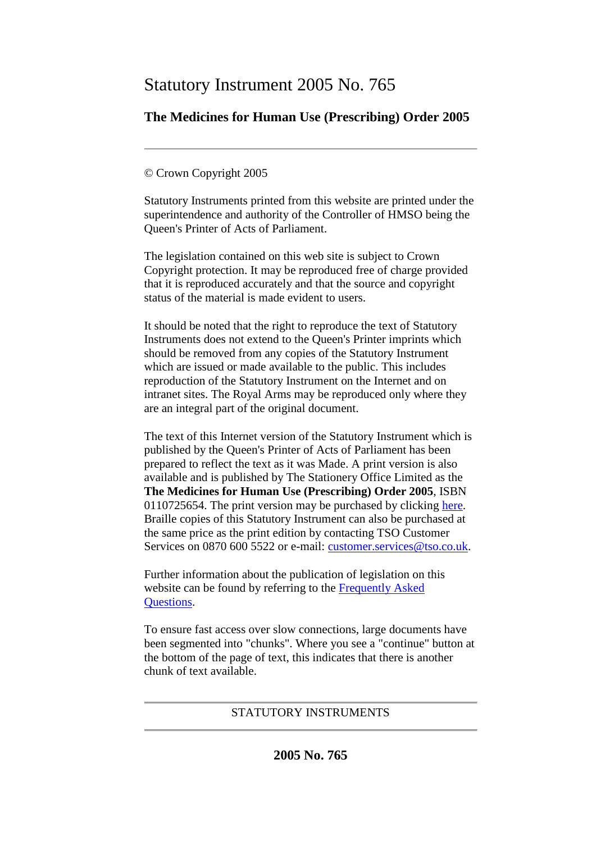# Statutory Instrument 2005 No. 765

## **The Medicines for Human Use (Prescribing) Order 2005**

## © Crown Copyright 2005

Statutory Instruments printed from this website are printed under the superintendence and authority of the Controller of HMSO being the Queen's Printer of Acts of Parliament.

The legislation contained on this web site is subject to Crown Copyright protection. It may be reproduced free of charge provided that it is reproduced accurately and that the source and copyright status of the material is made evident to users.

It should be noted that the right to reproduce the text of Statutory Instruments does not extend to the Queen's Printer imprints which should be removed from any copies of the Statutory Instrument which are issued or made available to the public. This includes reproduction of the Statutory Instrument on the Internet and on intranet sites. The Royal Arms may be reproduced only where they are an integral part of the original document.

The text of this Internet version of the Statutory Instrument which is published by the Queen's Printer of Acts of Parliament has been prepared to reflect the text as it was Made. A print version is also available and is published by The Stationery Office Limited as the **The Medicines for Human Use (Prescribing) Order 2005**, ISBN 0110725654. The print version may be purchased by clicking [here.](http://www.opsi.gov.uk/bookstore.htm?AF=A10075&FO=38383&Action=AddItem&ProductID=0110725654) Braille copies of this Statutory Instrument can also be purchased at the same price as the print edition by contacting TSO Customer Services on 0870 600 5522 or e-mail: [customer.services@tso.co.uk.](mailto:customer.services@tso.co.uk)

Further information about the publication of legislation on this website can be found by referring to the [Frequently Asked](http://www.hmso.gov.uk/faqs.htm)  [Questions.](http://www.hmso.gov.uk/faqs.htm)

To ensure fast access over slow connections, large documents have been segmented into "chunks". Where you see a "continue" button at the bottom of the page of text, this indicates that there is another chunk of text available.

## STATUTORY INSTRUMENTS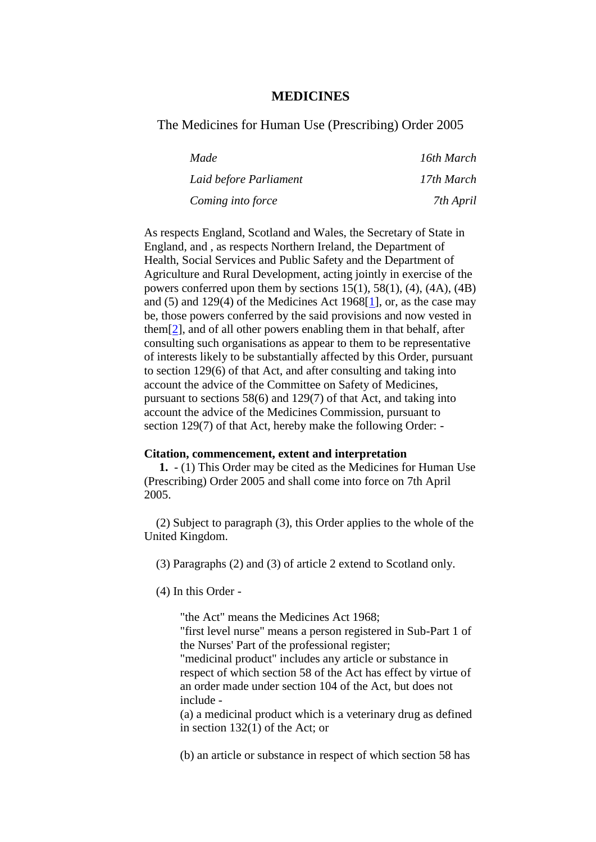### **MEDICINES**

#### The Medicines for Human Use (Prescribing) Order 2005

| Made                   | 16th March |
|------------------------|------------|
| Laid before Parliament | 17th March |
| Coming into force      | 7th April  |

As respects England, Scotland and Wales, the Secretary of State in England, and , as respects Northern Ireland, the Department of Health, Social Services and Public Safety and the Department of Agriculture and Rural Development, acting jointly in exercise of the powers conferred upon them by sections  $15(1)$ ,  $58(1)$ ,  $(4)$ ,  $(4A)$ ,  $(4B)$ and (5) and 129(4) of the Medicines Act 1968[\[1\]](http://www.opsi.gov.uk/si/si2005/20050765.htm#note1), or, as the case may be, those powers conferred by the said provisions and now vested in them[\[2\]](http://www.opsi.gov.uk/si/si2005/20050765.htm#note2), and of all other powers enabling them in that behalf, after consulting such organisations as appear to them to be representative of interests likely to be substantially affected by this Order, pursuant to section 129(6) of that Act, and after consulting and taking into account the advice of the Committee on Safety of Medicines, pursuant to sections 58(6) and 129(7) of that Act, and taking into account the advice of the Medicines Commission, pursuant to section 129(7) of that Act, hereby make the following Order: -

#### **Citation, commencement, extent and interpretation**

**1.** - (1) This Order may be cited as the Medicines for Human Use (Prescribing) Order 2005 and shall come into force on 7th April 2005.

(2) Subject to paragraph (3), this Order applies to the whole of the United Kingdom.

(3) Paragraphs (2) and (3) of article 2 extend to Scotland only.

(4) In this Order -

"the Act" means the Medicines Act 1968; "first level nurse" means a person registered in Sub-Part 1 of the Nurses' Part of the professional register; "medicinal product" includes any article or substance in respect of which section 58 of the Act has effect by virtue of an order made under section 104 of the Act, but does not include -

(a) a medicinal product which is a veterinary drug as defined in section 132(1) of the Act; or

(b) an article or substance in respect of which section 58 has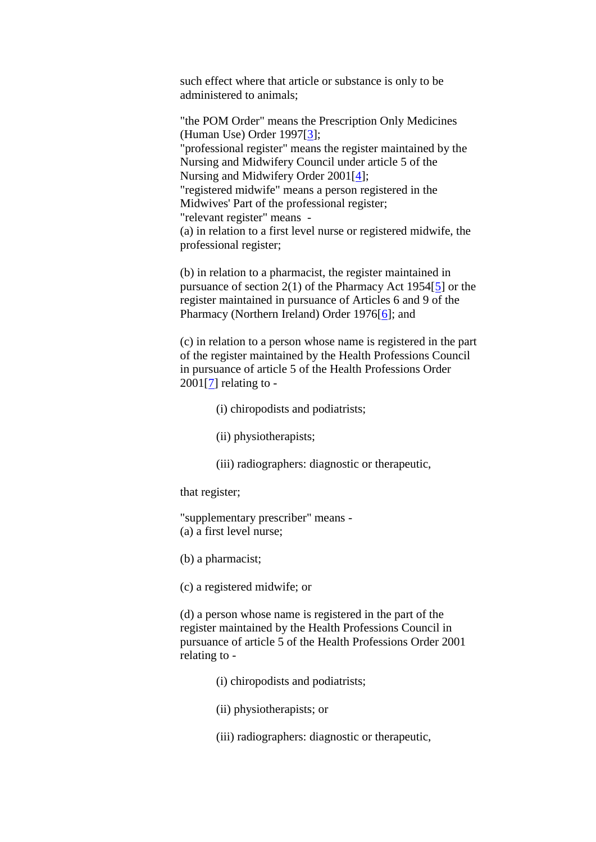such effect where that article or substance is only to be administered to animals;

"the POM Order" means the Prescription Only Medicines (Human Use) Order 1997[\[3\]](http://www.opsi.gov.uk/si/si2005/20050765.htm#note3); "professional register" means the register maintained by the Nursing and Midwifery Council under article 5 of the Nursing and Midwifery Order 2001[\[4\]](http://www.opsi.gov.uk/si/si2005/20050765.htm#note4); "registered midwife" means a person registered in the Midwives' Part of the professional register; "relevant register" means - (a) in relation to a first level nurse or registered midwife, the professional register;

(b) in relation to a pharmacist, the register maintained in pursuance of section 2(1) of the Pharmacy Act 1954[\[5\]](http://www.opsi.gov.uk/si/si2005/20050765.htm#note5) or the register maintained in pursuance of Articles 6 and 9 of the Pharmacy (Northern Ireland) Order 1976[\[6\]](http://www.opsi.gov.uk/si/si2005/20050765.htm#note6); and

(c) in relation to a person whose name is registered in the part of the register maintained by the Health Professions Council in pursuance of article 5 of the Health Professions Order  $2001[7]$  $2001[7]$  relating to -

- (i) chiropodists and podiatrists;
- (ii) physiotherapists;
- (iii) radiographers: diagnostic or therapeutic,

that register;

"supplementary prescriber" means - (a) a first level nurse;

(b) a pharmacist;

(c) a registered midwife; or

(d) a person whose name is registered in the part of the register maintained by the Health Professions Council in pursuance of article 5 of the Health Professions Order 2001 relating to -

- (i) chiropodists and podiatrists;
- (ii) physiotherapists; or
- (iii) radiographers: diagnostic or therapeutic,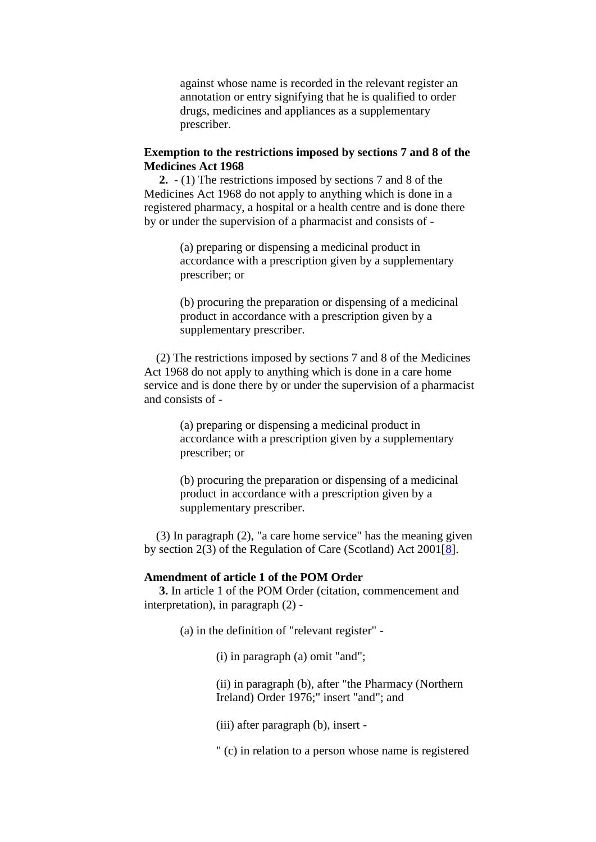against whose name is recorded in the relevant register an annotation or entry signifying that he is qualified to order drugs, medicines and appliances as a supplementary prescriber.

#### **Exemption to the restrictions imposed by sections 7 and 8 of the Medicines Act 1968**

**2.** - (1) The restrictions imposed by sections 7 and 8 of the Medicines Act 1968 do not apply to anything which is done in a registered pharmacy, a hospital or a health centre and is done there by or under the supervision of a pharmacist and consists of -

> (a) preparing or dispensing a medicinal product in accordance with a prescription given by a supplementary prescriber; or

(b) procuring the preparation or dispensing of a medicinal product in accordance with a prescription given by a supplementary prescriber.

(2) The restrictions imposed by sections 7 and 8 of the Medicines Act 1968 do not apply to anything which is done in a care home service and is done there by or under the supervision of a pharmacist and consists of -

> (a) preparing or dispensing a medicinal product in accordance with a prescription given by a supplementary prescriber; or

(b) procuring the preparation or dispensing of a medicinal product in accordance with a prescription given by a supplementary prescriber.

(3) In paragraph (2), "a care home service" has the meaning given by section 2(3) of the Regulation of Care (Scotland) Act 2001[\[8\]](http://www.opsi.gov.uk/si/si2005/20050765.htm#note8).

#### **Amendment of article 1 of the POM Order**

**3.** In article 1 of the POM Order (citation, commencement and interpretation), in paragraph (2) -

(a) in the definition of "relevant register" -

(i) in paragraph (a) omit "and";

(ii) in paragraph (b), after "the Pharmacy (Northern Ireland) Order 1976;" insert "and"; and

(iii) after paragraph (b), insert -

" (c) in relation to a person whose name is registered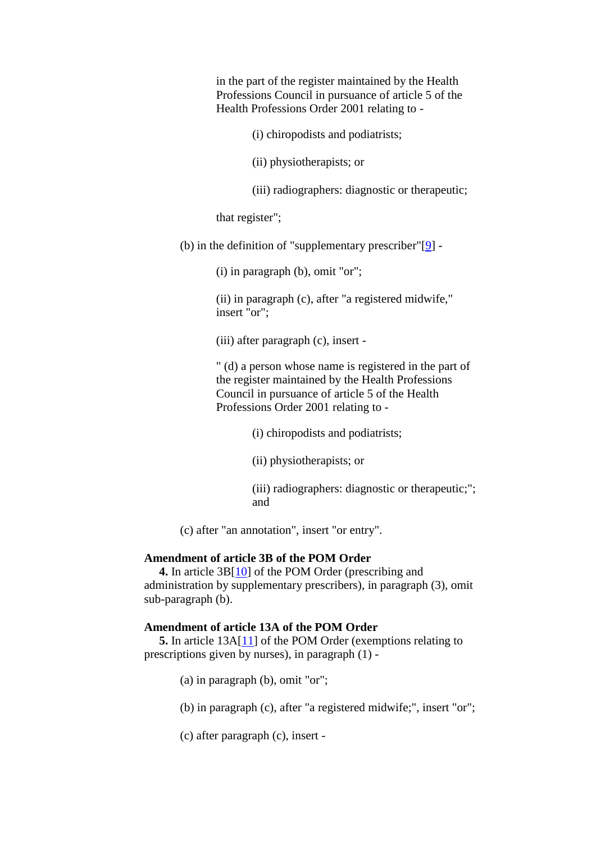in the part of the register maintained by the Health Professions Council in pursuance of article 5 of the Health Professions Order 2001 relating to -

(i) chiropodists and podiatrists;

(ii) physiotherapists; or

(iii) radiographers: diagnostic or therapeutic;

that register";

(b) in the definition of "supplementary prescriber" $[9]$  -

(i) in paragraph (b), omit "or";

(ii) in paragraph (c), after "a registered midwife," insert "or";

(iii) after paragraph (c), insert -

" (d) a person whose name is registered in the part of the register maintained by the Health Professions Council in pursuance of article 5 of the Health Professions Order 2001 relating to -

(i) chiropodists and podiatrists;

(ii) physiotherapists; or

(iii) radiographers: diagnostic or therapeutic;"; and

(c) after "an annotation", insert "or entry".

#### **Amendment of article 3B of the POM Order**

**4.** In article 3B[\[10\]](http://www.opsi.gov.uk/si/si2005/20050765.htm#note10) of the POM Order (prescribing and administration by supplementary prescribers), in paragraph (3), omit sub-paragraph (b).

#### **Amendment of article 13A of the POM Order**

**5.** In article 13A[\[11\]](http://www.opsi.gov.uk/si/si2005/20050765.htm#note11) of the POM Order (exemptions relating to prescriptions given by nurses), in paragraph (1) -

(a) in paragraph (b), omit "or";

(b) in paragraph (c), after "a registered midwife;", insert "or";

(c) after paragraph (c), insert -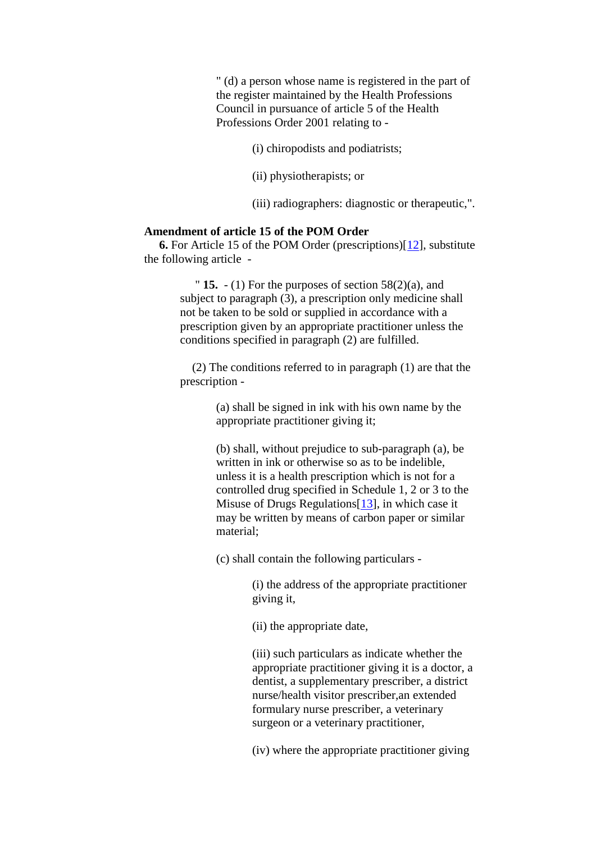" (d) a person whose name is registered in the part of the register maintained by the Health Professions Council in pursuance of article 5 of the Health Professions Order 2001 relating to -

(i) chiropodists and podiatrists;

(ii) physiotherapists; or

(iii) radiographers: diagnostic or therapeutic,".

## **Amendment of article 15 of the POM Order**

**6.** For Article 15 of the POM Order (prescriptions)[\[12\]](http://www.opsi.gov.uk/si/si2005/20050765.htm#note12), substitute the following article -

> " **15.**  $- (1)$  For the purposes of section  $58(2)(a)$ , and subject to paragraph (3), a prescription only medicine shall not be taken to be sold or supplied in accordance with a prescription given by an appropriate practitioner unless the conditions specified in paragraph (2) are fulfilled.

(2) The conditions referred to in paragraph (1) are that the prescription -

> (a) shall be signed in ink with his own name by the appropriate practitioner giving it;

(b) shall, without prejudice to sub-paragraph (a), be written in ink or otherwise so as to be indelible, unless it is a health prescription which is not for a controlled drug specified in Schedule 1, 2 or 3 to the Misuse of Drugs Regulations[\[13\]](http://www.opsi.gov.uk/si/si2005/20050765.htm#note13), in which case it may be written by means of carbon paper or similar material;

(c) shall contain the following particulars -

(i) the address of the appropriate practitioner giving it,

(ii) the appropriate date,

(iii) such particulars as indicate whether the appropriate practitioner giving it is a doctor, a dentist, a supplementary prescriber, a district nurse/health visitor prescriber,an extended formulary nurse prescriber, a veterinary surgeon or a veterinary practitioner,

(iv) where the appropriate practitioner giving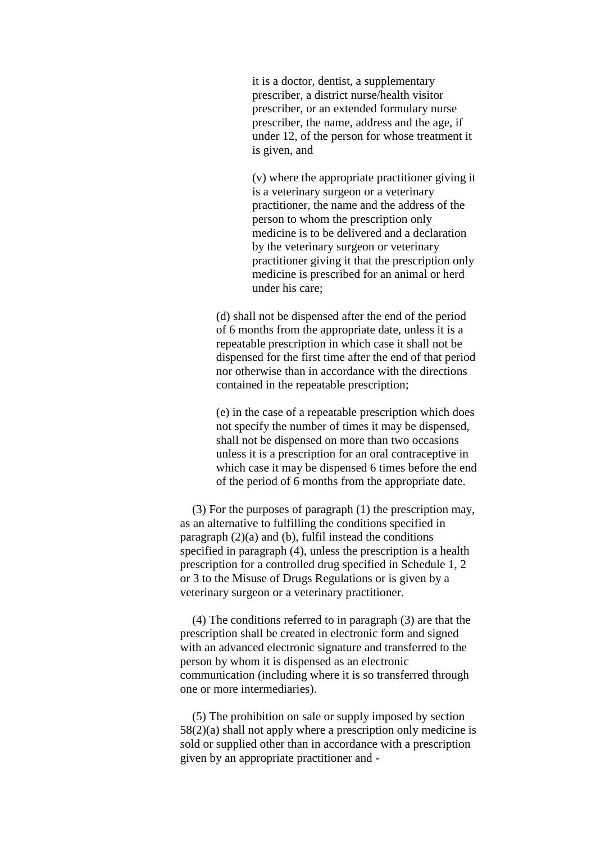it is a doctor, dentist, a supplementary prescriber, a district nurse/health visitor prescriber, or an extended formulary nurse prescriber, the name, address and the age, if under 12, of the person for whose treatment it is given, and

(v) where the appropriate practitioner giving it is a veterinary surgeon or a veterinary practitioner, the name and the address of the person to whom the prescription only medicine is to be delivered and a declaration by the veterinary surgeon or veterinary practitioner giving it that the prescription only medicine is prescribed for an animal or herd under his care;

(d) shall not be dispensed after the end of the period of 6 months from the appropriate date, unless it is a repeatable prescription in which case it shall not be dispensed for the first time after the end of that period nor otherwise than in accordance with the directions contained in the repeatable prescription;

(e) in the case of a repeatable prescription which does not specify the number of times it may be dispensed, shall not be dispensed on more than two occasions unless it is a prescription for an oral contraceptive in which case it may be dispensed 6 times before the end of the period of 6 months from the appropriate date.

(3) For the purposes of paragraph (1) the prescription may, as an alternative to fulfilling the conditions specified in paragraph  $(2)(a)$  and  $(b)$ , fulfil instead the conditions specified in paragraph (4), unless the prescription is a health prescription for a controlled drug specified in Schedule 1, 2 or 3 to the Misuse of Drugs Regulations or is given by a veterinary surgeon or a veterinary practitioner.

(4) The conditions referred to in paragraph (3) are that the prescription shall be created in electronic form and signed with an advanced electronic signature and transferred to the person by whom it is dispensed as an electronic communication (including where it is so transferred through one or more intermediaries).

(5) The prohibition on sale or supply imposed by section 58(2)(a) shall not apply where a prescription only medicine is sold or supplied other than in accordance with a prescription given by an appropriate practitioner and -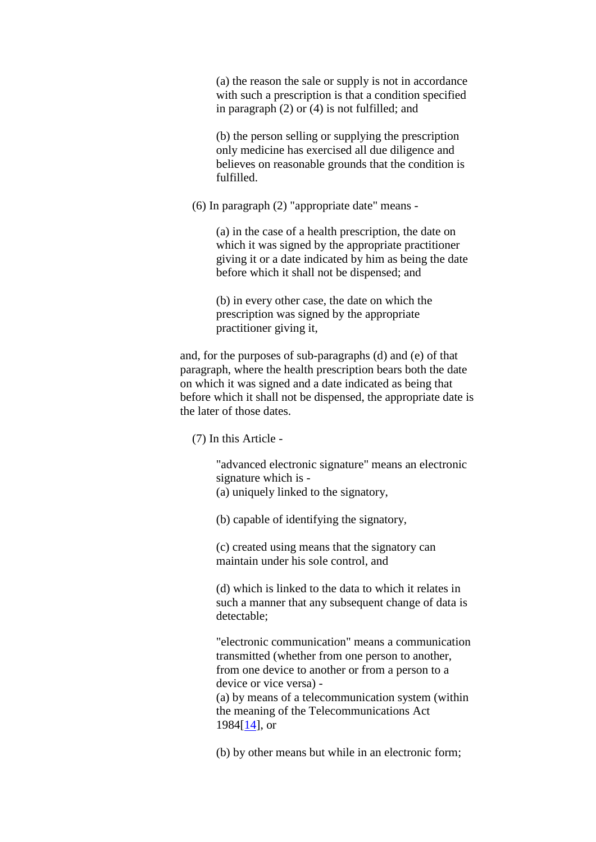(a) the reason the sale or supply is not in accordance with such a prescription is that a condition specified in paragraph (2) or (4) is not fulfilled; and

(b) the person selling or supplying the prescription only medicine has exercised all due diligence and believes on reasonable grounds that the condition is fulfilled.

(6) In paragraph (2) "appropriate date" means -

(a) in the case of a health prescription, the date on which it was signed by the appropriate practitioner giving it or a date indicated by him as being the date before which it shall not be dispensed; and

(b) in every other case, the date on which the prescription was signed by the appropriate practitioner giving it,

and, for the purposes of sub-paragraphs (d) and (e) of that paragraph, where the health prescription bears both the date on which it was signed and a date indicated as being that before which it shall not be dispensed, the appropriate date is the later of those dates.

(7) In this Article -

"advanced electronic signature" means an electronic signature which is - (a) uniquely linked to the signatory,

(b) capable of identifying the signatory,

(c) created using means that the signatory can maintain under his sole control, and

(d) which is linked to the data to which it relates in such a manner that any subsequent change of data is detectable;

"electronic communication" means a communication transmitted (whether from one person to another, from one device to another or from a person to a device or vice versa) - (a) by means of a telecommunication system (within the meaning of the Telecommunications Act 1984[\[14\]](http://www.opsi.gov.uk/si/si2005/20050765.htm#note14), or

(b) by other means but while in an electronic form;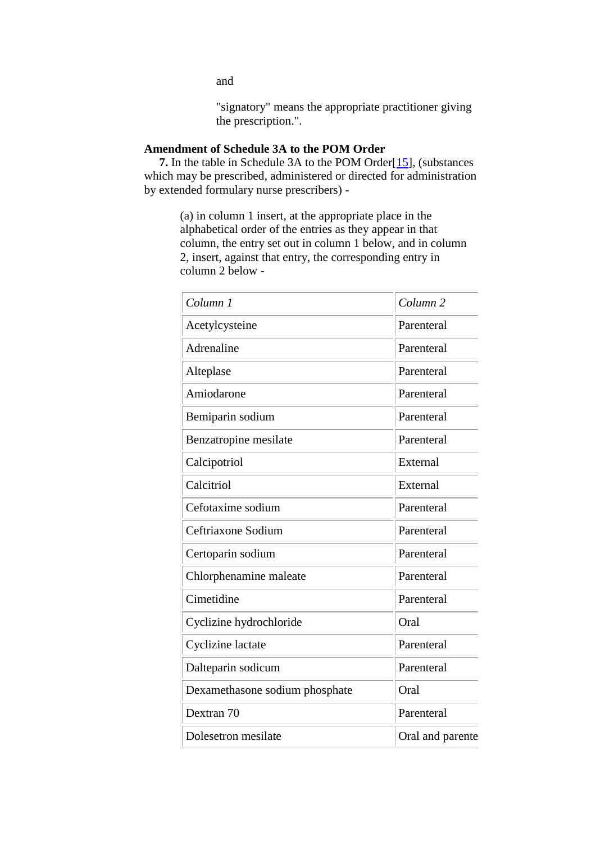"signatory" means the appropriate practitioner giving the prescription.".

## **Amendment of Schedule 3A to the POM Order**

**7.** In the table in Schedule 3A to the POM Order<sup>[\[15\]](http://www.opsi.gov.uk/si/si2005/20050765.htm#note15)</sup>, (substances which may be prescribed, administered or directed for administration by extended formulary nurse prescribers) -

> (a) in column 1 insert, at the appropriate place in the alphabetical order of the entries as they appear in that column, the entry set out in column 1 below, and in column 2, insert, against that entry, the corresponding entry in column 2 below -

| Column 1                       | Column <sub>2</sub> |  |
|--------------------------------|---------------------|--|
| Acetylcysteine                 | Parenteral          |  |
| Adrenaline                     | Parenteral          |  |
| Alteplase                      | Parenteral          |  |
| Amiodarone                     | Parenteral          |  |
| Bemiparin sodium               | Parenteral          |  |
| Benzatropine mesilate          | Parenteral          |  |
| Calcipotriol                   | External            |  |
| Calcitriol                     | External            |  |
| Cefotaxime sodium              | Parenteral          |  |
| Ceftriaxone Sodium             | Parenteral          |  |
| Certoparin sodium              | Parenteral          |  |
| Chlorphenamine maleate         | Parenteral          |  |
| Cimetidine                     | Parenteral          |  |
| Cyclizine hydrochloride        | Oral                |  |
| Cyclizine lactate              | Parenteral          |  |
| Dalteparin sodicum             | Parenteral          |  |
| Dexamethasone sodium phosphate | Oral                |  |
| Dextran 70                     | Parenteral          |  |
| Dolesetron mesilate            | Oral and parente    |  |

and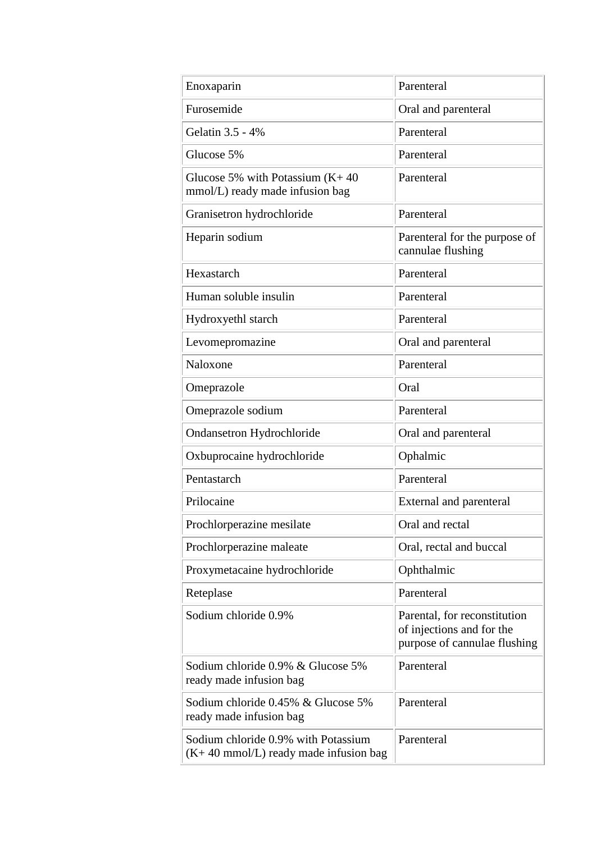| Enoxaparin                                                                             | Parenteral                                                                                |  |  |
|----------------------------------------------------------------------------------------|-------------------------------------------------------------------------------------------|--|--|
| Furosemide                                                                             | Oral and parenteral                                                                       |  |  |
| Gelatin 3.5 - 4%                                                                       | Parenteral                                                                                |  |  |
| Glucose 5%                                                                             | Parenteral                                                                                |  |  |
| Glucose 5% with Potassium $(K+40)$<br>mmol/L) ready made infusion bag                  | Parenteral                                                                                |  |  |
| Granisetron hydrochloride                                                              | Parenteral                                                                                |  |  |
| Heparin sodium                                                                         | Parenteral for the purpose of<br>cannulae flushing                                        |  |  |
| Hexastarch                                                                             | Parenteral                                                                                |  |  |
| Human soluble insulin                                                                  | Parenteral                                                                                |  |  |
| Hydroxyethl starch                                                                     | Parenteral                                                                                |  |  |
| Levomepromazine                                                                        | Oral and parenteral                                                                       |  |  |
| Naloxone                                                                               | Parenteral                                                                                |  |  |
| Omeprazole                                                                             | Oral                                                                                      |  |  |
| Omeprazole sodium                                                                      | Parenteral                                                                                |  |  |
| <b>Ondansetron Hydrochloride</b>                                                       | Oral and parenteral                                                                       |  |  |
| Oxbuprocaine hydrochloride                                                             | Ophalmic                                                                                  |  |  |
| Pentastarch                                                                            | Parenteral                                                                                |  |  |
| Prilocaine                                                                             | <b>External and parenteral</b>                                                            |  |  |
| Prochlorperazine mesilate                                                              | Oral and rectal                                                                           |  |  |
| Prochlorperazine maleate                                                               | Oral, rectal and buccal                                                                   |  |  |
| Proxymetacaine hydrochloride                                                           | Ophthalmic                                                                                |  |  |
| Reteplase                                                                              | Parenteral                                                                                |  |  |
| Sodium chloride 0.9%                                                                   | Parental, for reconstitution<br>of injections and for the<br>purpose of cannulae flushing |  |  |
| Sodium chloride 0.9% & Glucose 5%<br>ready made infusion bag                           | Parenteral                                                                                |  |  |
| Sodium chloride 0.45% & Glucose 5%<br>ready made infusion bag                          | Parenteral                                                                                |  |  |
| Sodium chloride 0.9% with Potassium<br>$(K+40 \text{ mmol/L})$ ready made infusion bag | Parenteral                                                                                |  |  |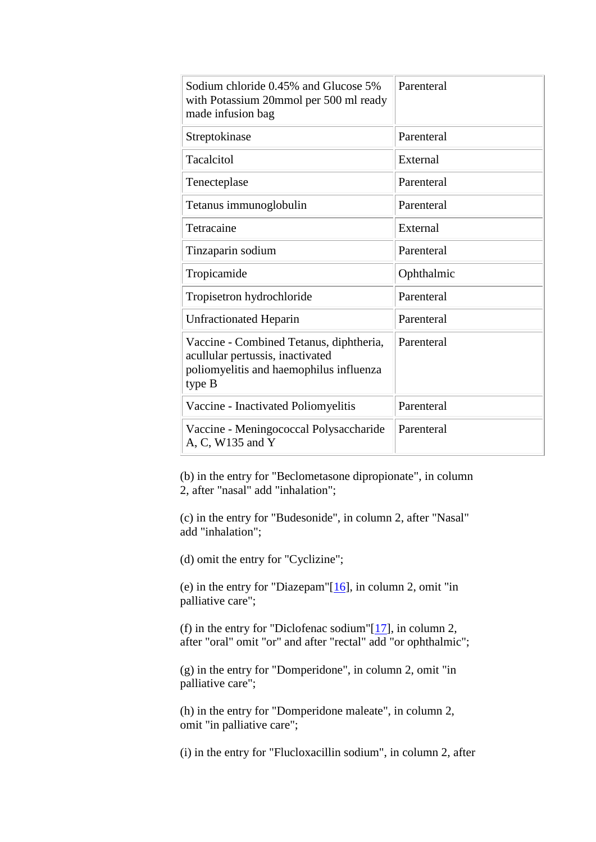| Sodium chloride 0.45% and Glucose 5%<br>with Potassium 20mmol per 500 ml ready<br>made infusion bag                              | Parenteral |  |  |
|----------------------------------------------------------------------------------------------------------------------------------|------------|--|--|
| Streptokinase                                                                                                                    | Parenteral |  |  |
| Tacalcitol                                                                                                                       | External   |  |  |
| Tenecteplase                                                                                                                     | Parenteral |  |  |
| Tetanus immunoglobulin                                                                                                           | Parenteral |  |  |
| Tetracaine                                                                                                                       | External   |  |  |
| Tinzaparin sodium                                                                                                                | Parenteral |  |  |
| Tropicamide                                                                                                                      | Ophthalmic |  |  |
| Tropisetron hydrochloride                                                                                                        | Parenteral |  |  |
| <b>Unfractionated Heparin</b>                                                                                                    | Parenteral |  |  |
| Vaccine - Combined Tetanus, diphtheria,<br>acullular pertussis, inactivated<br>poliomyelitis and haemophilus influenza<br>type B | Parenteral |  |  |
| Vaccine - Inactivated Poliomyelitis                                                                                              | Parenteral |  |  |
| Vaccine - Meningococcal Polysaccharide<br>A, C, W135 and Y                                                                       | Parenteral |  |  |

(b) in the entry for "Beclometasone dipropionate", in column 2, after "nasal" add "inhalation";

(c) in the entry for "Budesonide", in column 2, after "Nasal" add "inhalation";

(d) omit the entry for "Cyclizine";

(e) in the entry for "Diazepam"[\[16\]](http://www.opsi.gov.uk/si/si2005/20050765.htm#note16), in column 2, omit "in palliative care";

(f) in the entry for "Diclofenac sodium" $[17]$ , in column 2, after "oral" omit "or" and after "rectal" add "or ophthalmic";

(g) in the entry for "Domperidone", in column 2, omit "in palliative care";

(h) in the entry for "Domperidone maleate", in column 2, omit "in palliative care";

(i) in the entry for "Flucloxacillin sodium", in column 2, after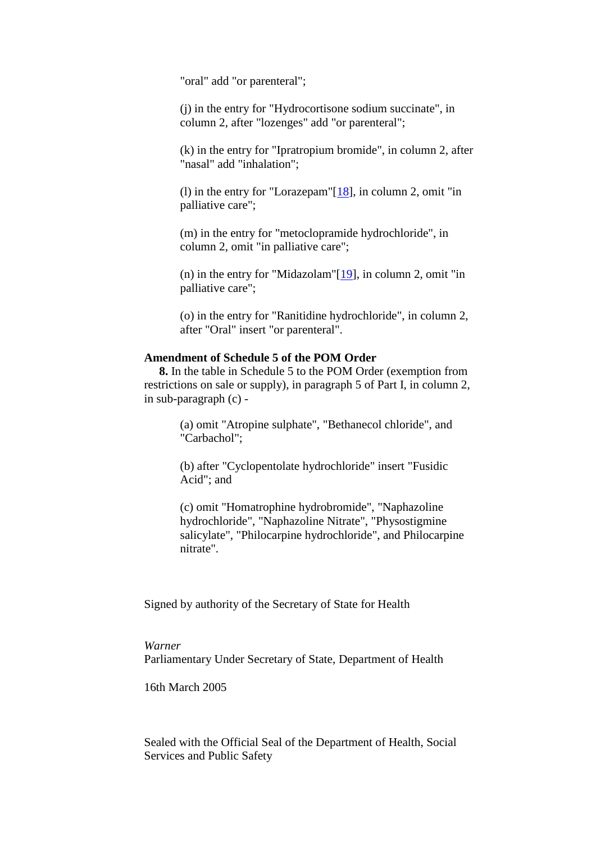"oral" add "or parenteral";

(j) in the entry for "Hydrocortisone sodium succinate", in column 2, after "lozenges" add "or parenteral";

(k) in the entry for "Ipratropium bromide", in column 2, after "nasal" add "inhalation";

(l) in the entry for "Lorazepam" $[18]$ , in column 2, omit "in palliative care";

(m) in the entry for "metoclopramide hydrochloride", in column 2, omit "in palliative care";

(n) in the entry for "Midazolam"[\[19\]](http://www.opsi.gov.uk/si/si2005/20050765.htm#note19), in column 2, omit "in palliative care";

(o) in the entry for "Ranitidine hydrochloride", in column 2, after "Oral" insert "or parenteral".

### **Amendment of Schedule 5 of the POM Order**

**8.** In the table in Schedule 5 to the POM Order (exemption from restrictions on sale or supply), in paragraph 5 of Part I, in column 2, in sub-paragraph (c) -

> (a) omit "Atropine sulphate", "Bethanecol chloride", and "Carbachol";

(b) after "Cyclopentolate hydrochloride" insert "Fusidic Acid"; and

(c) omit "Homatrophine hydrobromide", "Naphazoline hydrochloride", "Naphazoline Nitrate", "Physostigmine salicylate", "Philocarpine hydrochloride", and Philocarpine nitrate".

Signed by authority of the Secretary of State for Health

#### *Warner*

Parliamentary Under Secretary of State, Department of Health

16th March 2005

Sealed with the Official Seal of the Department of Health, Social Services and Public Safety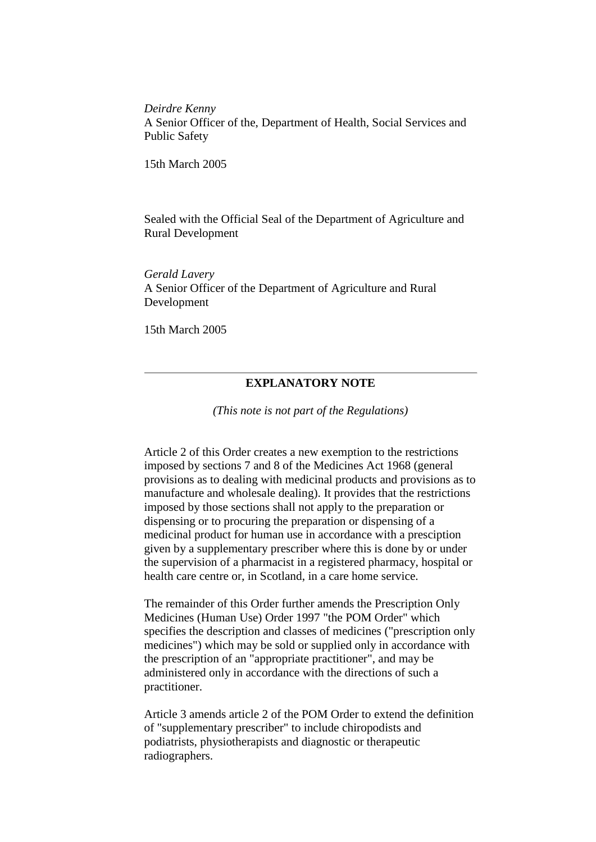*Deirdre Kenny* A Senior Officer of the, Department of Health, Social Services and Public Safety

15th March 2005

Sealed with the Official Seal of the Department of Agriculture and Rural Development

*Gerald Lavery* A Senior Officer of the Department of Agriculture and Rural Development

15th March 2005

## **EXPLANATORY NOTE**

*(This note is not part of the Regulations)*

Article 2 of this Order creates a new exemption to the restrictions imposed by sections 7 and 8 of the Medicines Act 1968 (general provisions as to dealing with medicinal products and provisions as to manufacture and wholesale dealing). It provides that the restrictions imposed by those sections shall not apply to the preparation or dispensing or to procuring the preparation or dispensing of a medicinal product for human use in accordance with a presciption given by a supplementary prescriber where this is done by or under the supervision of a pharmacist in a registered pharmacy, hospital or health care centre or, in Scotland, in a care home service.

The remainder of this Order further amends the Prescription Only Medicines (Human Use) Order 1997 "the POM Order" which specifies the description and classes of medicines ("prescription only medicines") which may be sold or supplied only in accordance with the prescription of an "appropriate practitioner", and may be administered only in accordance with the directions of such a practitioner.

Article 3 amends article 2 of the POM Order to extend the definition of "supplementary prescriber" to include chiropodists and podiatrists, physiotherapists and diagnostic or therapeutic radiographers.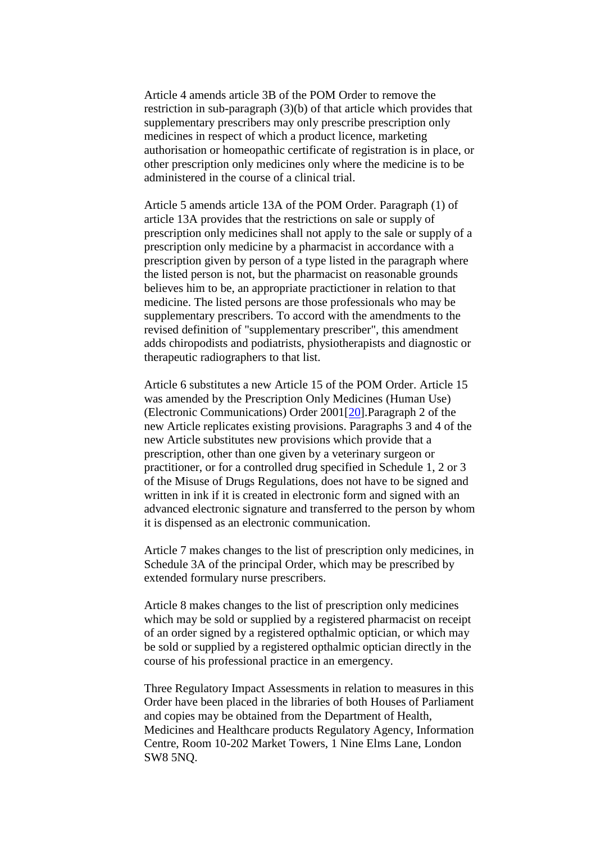Article 4 amends article 3B of the POM Order to remove the restriction in sub-paragraph (3)(b) of that article which provides that supplementary prescribers may only prescribe prescription only medicines in respect of which a product licence, marketing authorisation or homeopathic certificate of registration is in place, or other prescription only medicines only where the medicine is to be administered in the course of a clinical trial.

Article 5 amends article 13A of the POM Order. Paragraph (1) of article 13A provides that the restrictions on sale or supply of prescription only medicines shall not apply to the sale or supply of a prescription only medicine by a pharmacist in accordance with a prescription given by person of a type listed in the paragraph where the listed person is not, but the pharmacist on reasonable grounds believes him to be, an appropriate practictioner in relation to that medicine. The listed persons are those professionals who may be supplementary prescribers. To accord with the amendments to the revised definition of "supplementary prescriber", this amendment adds chiropodists and podiatrists, physiotherapists and diagnostic or therapeutic radiographers to that list.

Article 6 substitutes a new Article 15 of the POM Order. Article 15 was amended by the Prescription Only Medicines (Human Use) (Electronic Communications) Order 2001[\[20\]](http://www.opsi.gov.uk/si/si2005/20050765.htm#note20).Paragraph 2 of the new Article replicates existing provisions. Paragraphs 3 and 4 of the new Article substitutes new provisions which provide that a prescription, other than one given by a veterinary surgeon or practitioner, or for a controlled drug specified in Schedule 1, 2 or 3 of the Misuse of Drugs Regulations, does not have to be signed and written in ink if it is created in electronic form and signed with an advanced electronic signature and transferred to the person by whom it is dispensed as an electronic communication.

Article 7 makes changes to the list of prescription only medicines, in Schedule 3A of the principal Order, which may be prescribed by extended formulary nurse prescribers.

Article 8 makes changes to the list of prescription only medicines which may be sold or supplied by a registered pharmacist on receipt of an order signed by a registered opthalmic optician, or which may be sold or supplied by a registered opthalmic optician directly in the course of his professional practice in an emergency.

Three Regulatory Impact Assessments in relation to measures in this Order have been placed in the libraries of both Houses of Parliament and copies may be obtained from the Department of Health, Medicines and Healthcare products Regulatory Agency, Information Centre, Room 10-202 Market Towers, 1 Nine Elms Lane, London SW8 5NQ.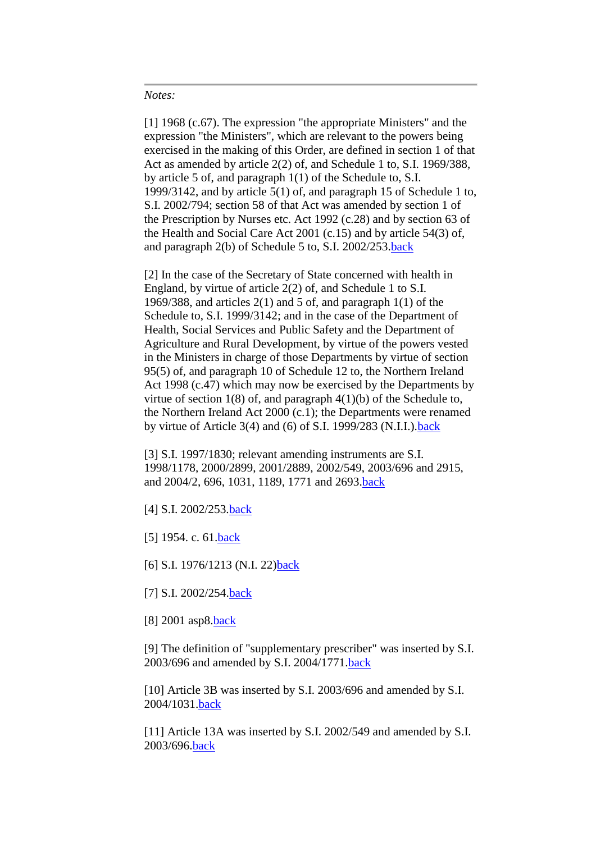#### *Notes:*

[1] 1968 (c.67). The expression "the appropriate Ministers" and the expression "the Ministers", which are relevant to the powers being exercised in the making of this Order, are defined in section 1 of that Act as amended by article 2(2) of, and Schedule 1 to, S.I. 1969/388, by article 5 of, and paragraph 1(1) of the Schedule to, S.I. 1999/3142, and by article 5(1) of, and paragraph 15 of Schedule 1 to, S.I. 2002/794; section 58 of that Act was amended by section 1 of the Prescription by Nurses etc. Act 1992 (c.28) and by section 63 of the Health and Social Care Act 2001 (c.15) and by article 54(3) of, and paragraph 2(b) of Schedule 5 to, S.I. 2002/253[.back](http://www.opsi.gov.uk/si/si2005/20050765.htm#n1)

[2] In the case of the Secretary of State concerned with health in England, by virtue of article 2(2) of, and Schedule 1 to S.I. 1969/388, and articles  $2(1)$  and 5 of, and paragraph  $1(1)$  of the Schedule to, S.I. 1999/3142; and in the case of the Department of Health, Social Services and Public Safety and the Department of Agriculture and Rural Development, by virtue of the powers vested in the Ministers in charge of those Departments by virtue of section 95(5) of, and paragraph 10 of Schedule 12 to, the Northern Ireland Act 1998 (c.47) which may now be exercised by the Departments by virtue of section  $1(8)$  of, and paragraph  $4(1)(b)$  of the Schedule to, the Northern Ireland Act 2000 (c.1); the Departments were renamed by virtue of Article 3(4) and (6) of S.I. 1999/283 (N.I.I.)[.back](http://www.opsi.gov.uk/si/si2005/20050765.htm#n2)

[3] S.I. 1997/1830; relevant amending instruments are S.I. 1998/1178, 2000/2899, 2001/2889, 2002/549, 2003/696 and 2915, and 2004/2, 696, 1031, 1189, 1771 and 2693[.back](http://www.opsi.gov.uk/si/si2005/20050765.htm#n3)

- [4] S.I. 2002/253[.back](http://www.opsi.gov.uk/si/si2005/20050765.htm#n4)
- [5] 1954. c. 61. back
- [6] S.I. 1976/1213 (N.I. 22[\)back](http://www.opsi.gov.uk/si/si2005/20050765.htm#n6)
- [7] S.I. 2002/254[.back](http://www.opsi.gov.uk/si/si2005/20050765.htm#n7)]
- [8] 2001 asp8[.back](http://www.opsi.gov.uk/si/si2005/20050765.htm#n8)

[9] The definition of "supplementary prescriber" was inserted by S.I. 2003/696 and amended by S.I. 2004/1771[.back](http://www.opsi.gov.uk/si/si2005/20050765.htm#n9)

[10] Article 3B was inserted by S.I. 2003/696 and amended by S.I. 2004/1031[.back](http://www.opsi.gov.uk/si/si2005/20050765.htm#n10)

[11] Article 13A was inserted by S.I. 2002/549 and amended by S.I. 2003/696[.back](http://www.opsi.gov.uk/si/si2005/20050765.htm#n11)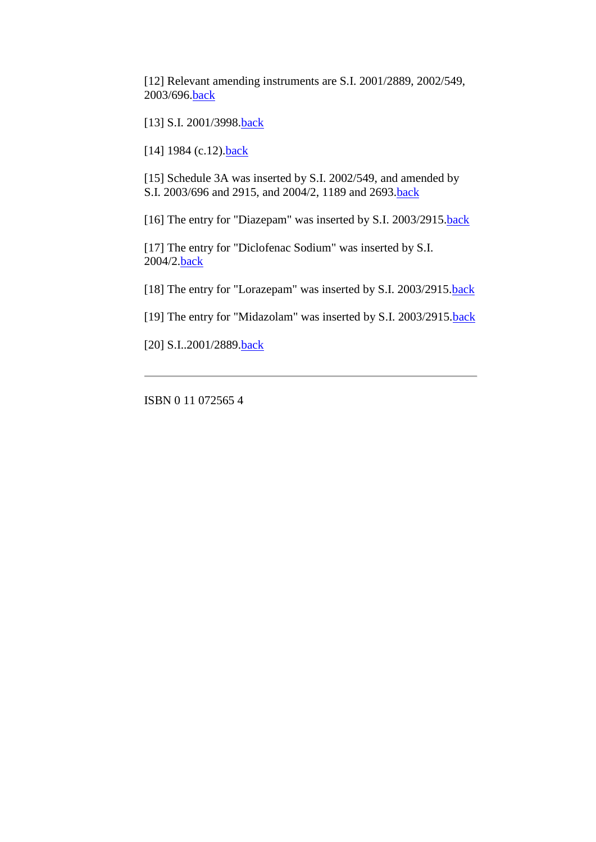[12] Relevant amending instruments are S.I. 2001/2889, 2002/549, 2003/696[.back](http://www.opsi.gov.uk/si/si2005/20050765.htm#n12)

[13] S.I. 2001/3998.**back** 

[14] 1984 (c.12).**back** 

[15] Schedule 3A was inserted by S.I. 2002/549, and amended by S.I. 2003/696 and 2915, and 2004/2, 1189 and 2693[.back](http://www.opsi.gov.uk/si/si2005/20050765.htm#n15)

[16] The entry for "Diazepam" was inserted by S.I. 2003/2915[.back](http://www.opsi.gov.uk/si/si2005/20050765.htm#n16)

[17] The entry for "Diclofenac Sodium" was inserted by S.I. 2004/2[.back](http://www.opsi.gov.uk/si/si2005/20050765.htm#n17)

[18] The entry for "Lorazepam" was inserted by S.I. 2003/2915[.back](http://www.opsi.gov.uk/si/si2005/20050765.htm#n18)

[19] The entry for "Midazolam" was inserted by S.I. 2003/2915[.back](http://www.opsi.gov.uk/si/si2005/20050765.htm#n19)

[20] S.I..2001/2889[.back](http://www.opsi.gov.uk/si/si2005/20050765.htm#n20)

ISBN 0 11 072565 4